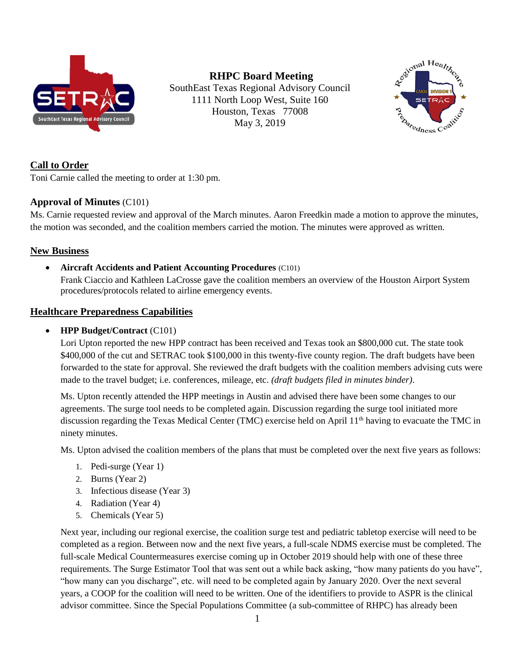

**RHPC Board Meeting** SouthEast Texas Regional Advisory Council 1111 North Loop West, Suite 160 Houston, Texas 77008 May 3, 2019



### **Call to Order**

Toni Carnie called the meeting to order at 1:30 pm.

### **Approval of Minutes** (C101)

Ms. Carnie requested review and approval of the March minutes. Aaron Freedkin made a motion to approve the minutes, the motion was seconded, and the coalition members carried the motion. The minutes were approved as written.

### **New Business**

• **Aircraft Accidents and Patient Accounting Procedures** (C101)

Frank Ciaccio and Kathleen LaCrosse gave the coalition members an overview of the Houston Airport System procedures/protocols related to airline emergency events.

### **Healthcare Preparedness Capabilities**

### • **HPP Budget/Contract** (C101)

Lori Upton reported the new HPP contract has been received and Texas took an \$800,000 cut. The state took \$400,000 of the cut and SETRAC took \$100,000 in this twenty-five county region. The draft budgets have been forwarded to the state for approval. She reviewed the draft budgets with the coalition members advising cuts were made to the travel budget; i.e. conferences, mileage, etc. *(draft budgets filed in minutes binder)*.

Ms. Upton recently attended the HPP meetings in Austin and advised there have been some changes to our agreements. The surge tool needs to be completed again. Discussion regarding the surge tool initiated more discussion regarding the Texas Medical Center (TMC) exercise held on April 11<sup>th</sup> having to evacuate the TMC in ninety minutes.

Ms. Upton advised the coalition members of the plans that must be completed over the next five years as follows:

- 1. Pedi-surge (Year 1)
- 2. Burns (Year 2)
- 3. Infectious disease (Year 3)
- 4. Radiation (Year 4)
- 5. Chemicals (Year 5)

Next year, including our regional exercise, the coalition surge test and pediatric tabletop exercise will need to be completed as a region. Between now and the next five years, a full-scale NDMS exercise must be completed. The full-scale Medical Countermeasures exercise coming up in October 2019 should help with one of these three requirements. The Surge Estimator Tool that was sent out a while back asking, "how many patients do you have", "how many can you discharge", etc. will need to be completed again by January 2020. Over the next several years, a COOP for the coalition will need to be written. One of the identifiers to provide to ASPR is the clinical advisor committee. Since the Special Populations Committee (a sub-committee of RHPC) has already been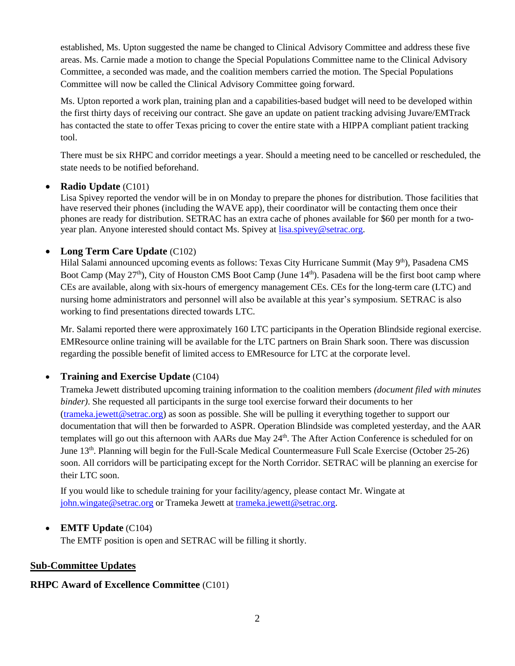established, Ms. Upton suggested the name be changed to Clinical Advisory Committee and address these five areas. Ms. Carnie made a motion to change the Special Populations Committee name to the Clinical Advisory Committee, a seconded was made, and the coalition members carried the motion. The Special Populations Committee will now be called the Clinical Advisory Committee going forward.

Ms. Upton reported a work plan, training plan and a capabilities-based budget will need to be developed within the first thirty days of receiving our contract. She gave an update on patient tracking advising Juvare/EMTrack has contacted the state to offer Texas pricing to cover the entire state with a HIPPA compliant patient tracking tool.

There must be six RHPC and corridor meetings a year. Should a meeting need to be cancelled or rescheduled, the state needs to be notified beforehand.

#### • **Radio Update** (C101)

Lisa Spivey reported the vendor will be in on Monday to prepare the phones for distribution. Those facilities that have reserved their phones (including the WAVE app), their coordinator will be contacting them once their phones are ready for distribution. SETRAC has an extra cache of phones available for \$60 per month for a twoyear plan. Anyone interested should contact Ms. Spivey at [lisa.spivey@setrac.org.](mailto:lisa.spivey@setrac.org)

### • **Long Term Care Update** (C102)

Hilal Salami announced upcoming events as follows: Texas City Hurricane Summit (May 9<sup>th</sup>), Pasadena CMS Boot Camp (May 27<sup>th</sup>), City of Houston CMS Boot Camp (June 14<sup>th</sup>). Pasadena will be the first boot camp where CEs are available, along with six-hours of emergency management CEs. CEs for the long-term care (LTC) and nursing home administrators and personnel will also be available at this year's symposium. SETRAC is also working to find presentations directed towards LTC.

Mr. Salami reported there were approximately 160 LTC participants in the Operation Blindside regional exercise. EMResource online training will be available for the LTC partners on Brain Shark soon. There was discussion regarding the possible benefit of limited access to EMResource for LTC at the corporate level.

### • **Training and Exercise Update** (C104)

Trameka Jewett distributed upcoming training information to the coalition members *(document filed with minutes binder)*. She requested all participants in the surge tool exercise forward their documents to her [\(trameka.jewett@setrac.org\)](mailto:trameka.jewett@setrac.org) as soon as possible. She will be pulling it everything together to support our documentation that will then be forwarded to ASPR. Operation Blindside was completed yesterday, and the AAR templates will go out this afternoon with AARs due May 24<sup>th</sup>. The After Action Conference is scheduled for on June 13<sup>th</sup>. Planning will begin for the Full-Scale Medical Countermeasure Full Scale Exercise (October 25-26) soon. All corridors will be participating except for the North Corridor. SETRAC will be planning an exercise for their LTC soon.

If you would like to schedule training for your facility/agency, please contact Mr. Wingate at [john.wingate@setrac.org](mailto:john.wingate@setrac.org) or Trameka Jewett at [trameka.jewett@setrac.org.](mailto:trameka.jewett@setrac.org)

### • **EMTF Update** (C104)

The EMTF position is open and SETRAC will be filling it shortly.

#### **Sub-Committee Updates**

#### **RHPC Award of Excellence Committee** (C101)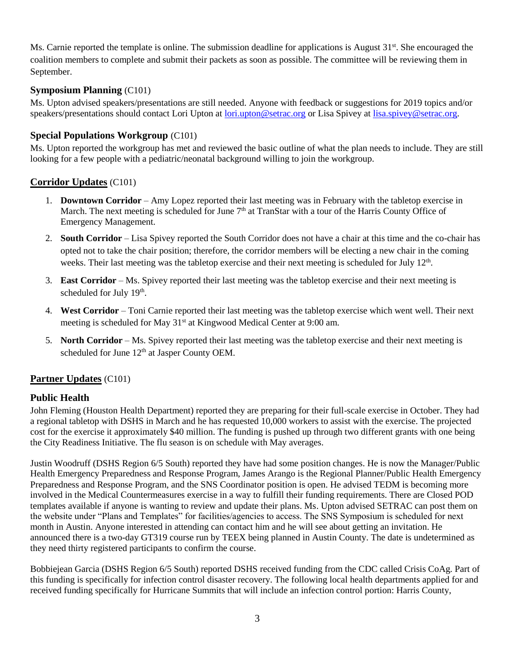Ms. Carnie reported the template is online. The submission deadline for applications is August 31<sup>st</sup>. She encouraged the coalition members to complete and submit their packets as soon as possible. The committee will be reviewing them in September.

### **Symposium Planning** (C101)

Ms. Upton advised speakers/presentations are still needed. Anyone with feedback or suggestions for 2019 topics and/or speakers/presentations should contact Lori Upton at [lori.upton@setrac.org](mailto:lori.upton@setrac.org) or Lisa Spivey at [lisa.spivey@setrac.org.](mailto:lisa.spivey@setrac.org)

#### **Special Populations Workgroup** (C101)

Ms. Upton reported the workgroup has met and reviewed the basic outline of what the plan needs to include. They are still looking for a few people with a pediatric/neonatal background willing to join the workgroup.

#### **Corridor Updates** (C101)

- 1. **Downtown Corridor** Amy Lopez reported their last meeting was in February with the tabletop exercise in March. The next meeting is scheduled for June  $7<sup>th</sup>$  at TranStar with a tour of the Harris County Office of Emergency Management.
- 2. **South Corridor** Lisa Spivey reported the South Corridor does not have a chair at this time and the co-chair has opted not to take the chair position; therefore, the corridor members will be electing a new chair in the coming weeks. Their last meeting was the tabletop exercise and their next meeting is scheduled for July 12<sup>th</sup>.
- 3. **East Corridor** Ms. Spivey reported their last meeting was the tabletop exercise and their next meeting is scheduled for July 19<sup>th</sup>.
- 4. **West Corridor** Toni Carnie reported their last meeting was the tabletop exercise which went well. Their next meeting is scheduled for May 31<sup>st</sup> at Kingwood Medical Center at 9:00 am.
- 5. **North Corridor** Ms. Spivey reported their last meeting was the tabletop exercise and their next meeting is scheduled for June  $12<sup>th</sup>$  at Jasper County OEM.

### **Partner Updates** (C101)

### **Public Health**

John Fleming (Houston Health Department) reported they are preparing for their full-scale exercise in October. They had a regional tabletop with DSHS in March and he has requested 10,000 workers to assist with the exercise. The projected cost for the exercise it approximately \$40 million. The funding is pushed up through two different grants with one being the City Readiness Initiative. The flu season is on schedule with May averages.

Justin Woodruff (DSHS Region 6/5 South) reported they have had some position changes. He is now the Manager/Public Health Emergency Preparedness and Response Program, James Arango is the Regional Planner/Public Health Emergency Preparedness and Response Program, and the SNS Coordinator position is open. He advised TEDM is becoming more involved in the Medical Countermeasures exercise in a way to fulfill their funding requirements. There are Closed POD templates available if anyone is wanting to review and update their plans. Ms. Upton advised SETRAC can post them on the website under "Plans and Templates" for facilities/agencies to access. The SNS Symposium is scheduled for next month in Austin. Anyone interested in attending can contact him and he will see about getting an invitation. He announced there is a two-day GT319 course run by TEEX being planned in Austin County. The date is undetermined as they need thirty registered participants to confirm the course.

Bobbiejean Garcia (DSHS Region 6/5 South) reported DSHS received funding from the CDC called Crisis CoAg. Part of this funding is specifically for infection control disaster recovery. The following local health departments applied for and received funding specifically for Hurricane Summits that will include an infection control portion: Harris County,